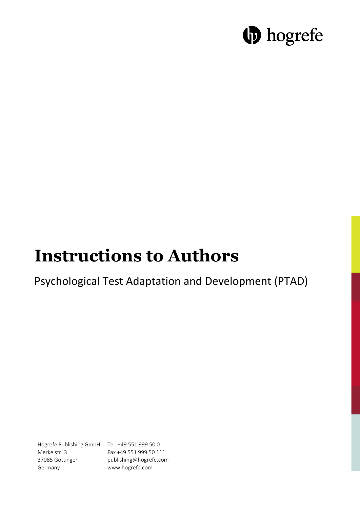# **b** hogrefe

# **Instructions to Authors**

## Psychological Test Adaptation and Development (PTAD)

Hogrefe Publishing GmbH Tel. +49 551 999 50 0 Merkelstr. 3 37085 Göttingen Germany

Fax +49 551 999 50 111 publishing@hogrefe.com www.hogrefe.com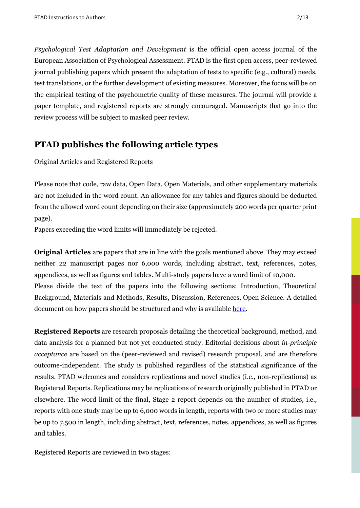*Psychological Test Adaptation and Development* is the official open access journal of the European Association of Psychological Assessment. PTAD is the first open access, peer-reviewed journal publishing papers which present the adaptation of tests to specific (e.g., cultural) needs, test translations, or the further development of existing measures. Moreover, the focus will be on the empirical testing of the psychometric quality of these measures. The journal will provide a paper template, and registered reports are strongly encouraged. Manuscripts that go into the review process will be subject to masked peer review.

## **PTAD publishes the following article types**

Original Articles and Registered Reports

Please note that code, raw data, Open Data, Open Materials, and other supplementary materials are not included in the word count. An allowance for any tables and figures should be deducted from the allowed word count depending on their size (approximately 200 words per quarter print page).

Papers exceeding the word limits will immediately be rejected.

**Original Articles** are papers that are in line with the goals mentioned above. They may exceed neither 22 manuscript pages nor 6,000 words, including abstract, text, references, notes, appendices, as well as figures and tables. Multi-study papers have a word limit of 10,000. Please divide the text of the papers into the following sections: Introduction, Theoretical Background, Materials and Methods, Results, Discussion, References, Open Science. A detailed document on how papers should be structured and why is available [here.](https://doi.org/10.1027/2698-1866/a000002)

**Registered Reports** are research proposals detailing the theoretical background, method, and data analysis for a planned but not yet conducted study. Editorial decisions about *in-principle acceptance* are based on the (peer-reviewed and revised) research proposal, and are therefore outcome-independent. The study is published regardless of the statistical significance of the results. PTAD welcomes and considers replications and novel studies (i.e., non-replications) as Registered Reports. Replications may be replications of research originally published in PTAD or elsewhere. The word limit of the final, Stage 2 report depends on the number of studies, i.e., reports with one study may be up to 6,000 words in length, reports with two or more studies may be up to 7,500 in length, including abstract, text, references, notes, appendices, as well as figures and tables.

Registered Reports are reviewed in two stages: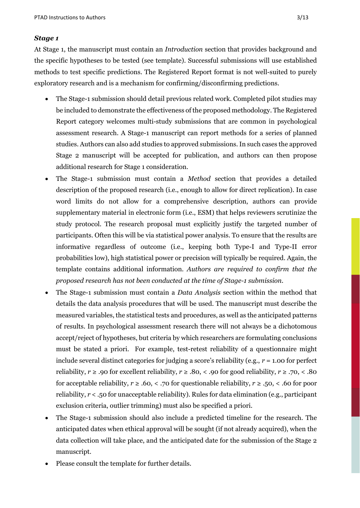#### *Stage 1*

At Stage 1, the manuscript must contain an *Introduction* section that provides background and the specific hypotheses to be tested (see template). Successful submissions will use established methods to test specific predictions. The Registered Report format is not well-suited to purely exploratory research and is a mechanism for confirming/disconfirming predictions.

- The Stage-1 submission should detail previous related work. Completed pilot studies may be included to demonstrate the effectiveness of the proposed methodology. The Registered Report category welcomes multi-study submissions that are common in psychological assessment research. A Stage-1 manuscript can report methods for a series of planned studies. Authors can also add studies to approved submissions. In such cases the approved Stage 2 manuscript will be accepted for publication, and authors can then propose additional research for Stage 1 consideration.
- The Stage-1 submission must contain a *Method* section that provides a detailed description of the proposed research (i.e., enough to allow for direct replication). In case word limits do not allow for a comprehensive description, authors can provide supplementary material in electronic form (i.e., ESM) that helps reviewers scrutinize the study protocol. The research proposal must explicitly justify the targeted number of participants. Often this will be via statistical power analysis. To ensure that the results are informative regardless of outcome (i.e., keeping both Type-I and Type-II error probabilities low), high statistical power or precision will typically be required. Again, the template contains additional information. *Authors are required to confirm that the proposed research has not been conducted at the time of Stage-1 submission*.
- The Stage-1 submission must contain a *Data Analysis* section within the method that details the data analysis procedures that will be used. The manuscript must describe the measured variables, the statistical tests and procedures, as well as the anticipated patterns of results. In psychological assessment research there will not always be a dichotomous accept/reject of hypotheses, but criteria by which researchers are formulating conclusions must be stated a priori. For example, test-retest reliability of a questionnaire might include several distinct categories for judging a score's reliability (e.g., *r* = 1.00 for perfect reliability,  $r \ge 0.90$  for excellent reliability,  $r \ge 0.80$ , < .90 for good reliability,  $r \ge 0.70$ , < .80 for acceptable reliability,  $r \ge 0.60$ , < .70 for questionable reliability,  $r \ge 0.50$ , < .60 for poor reliability, *r* < .50 for unacceptable reliability). Rules for data elimination (e.g., participant exclusion criteria, outlier trimming) must also be specified a priori.
- The Stage-1 submission should also include a predicted timeline for the research. The anticipated dates when ethical approval will be sought (if not already acquired), when the data collection will take place, and the anticipated date for the submission of the Stage 2 manuscript.
- Please consult the template for further details.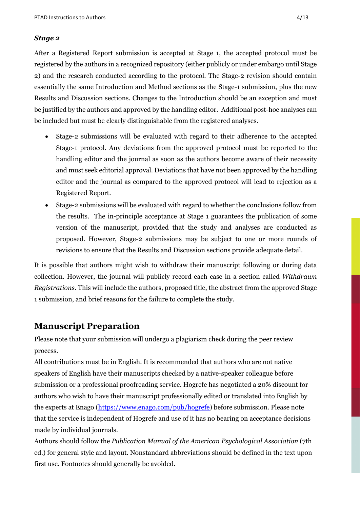#### *Stage 2*

After a Registered Report submission is accepted at Stage 1, the accepted protocol must be registered by the authors in a recognized repository (either publicly or under embargo until Stage 2) and the research conducted according to the protocol. The Stage-2 revision should contain essentially the same Introduction and Method sections as the Stage-1 submission, plus the new Results and Discussion sections. Changes to the Introduction should be an exception and must be justified by the authors and approved by the handling editor. Additional post-hoc analyses can be included but must be clearly distinguishable from the registered analyses.

- Stage-2 submissions will be evaluated with regard to their adherence to the accepted Stage-1 protocol. Any deviations from the approved protocol must be reported to the handling editor and the journal as soon as the authors become aware of their necessity and must seek editorial approval. Deviations that have not been approved by the handling editor and the journal as compared to the approved protocol will lead to rejection as a Registered Report.
- Stage-2 submissions will be evaluated with regard to whether the conclusions follow from the results. The in-principle acceptance at Stage 1 guarantees the publication of some version of the manuscript, provided that the study and analyses are conducted as proposed. However, Stage-2 submissions may be subject to one or more rounds of revisions to ensure that the Results and Discussion sections provide adequate detail.

It is possible that authors might wish to withdraw their manuscript following or during data collection. However, the journal will publicly record each case in a section called *Withdrawn Registrations*. This will include the authors, proposed title, the abstract from the approved Stage 1 submission, and brief reasons for the failure to complete the study.

## **Manuscript Preparation**

Please note that your submission will undergo a plagiarism check during the peer review process.

All contributions must be in English. It is recommended that authors who are not native speakers of English have their manuscripts checked by a native-speaker colleague before submission or a professional proofreading service. Hogrefe has negotiated a 20% discount for authors who wish to have their manuscript professionally edited or translated into English by the experts at Enago [\(https://www.enago.com/pub/hogrefe\)](https://www.enago.com/pub/hogrefe) before submission. Please note that the service is independent of Hogrefe and use of it has no bearing on acceptance decisions made by individual journals.

Authors should follow the *Publication Manual of the American Psychological Association* (7th ed.) for general style and layout. Nonstandard abbreviations should be defined in the text upon first use. Footnotes should generally be avoided.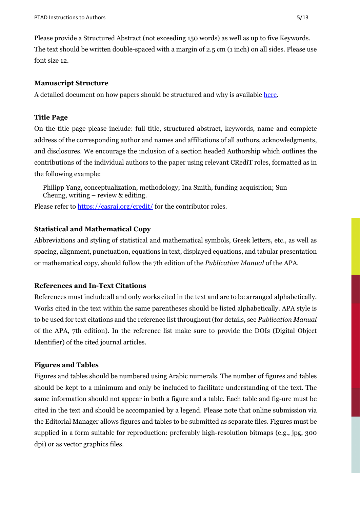Please provide a Structured Abstract (not exceeding 150 words) as well as up to five Keywords. The text should be written double-spaced with a margin of 2.5 cm (1 inch) on all sides. Please use font size 12.

#### **Manuscript Structure**

A detailed document on how papers should be structured and why is available [here.](https://doi.org/10.1027/2698-1866/a000002)

#### **Title Page**

On the title page please include: full title, structured abstract, keywords, name and complete address of the corresponding author and names and affiliations of all authors, acknowledgments, and disclosures. We encourage the inclusion of a section headed Authorship which outlines the contributions of the individual authors to the paper using relevant CRediT roles, formatted as in the following example:

Philipp Yang, conceptualization, methodology; Ina Smith, funding acquisition; Sun Cheung, writing – review & editing.

Please refer to<https://casrai.org/credit/> for the contributor roles.

#### **Statistical and Mathematical Copy**

Abbreviations and styling of statistical and mathematical symbols, Greek letters, etc., as well as spacing, alignment, punctuation, equations in text, displayed equations, and tabular presentation or mathematical copy, should follow the 7th edition of the *Publication Manual* of the APA.

#### **References and In-Text Citations**

References must include all and only works cited in the text and are to be arranged alphabetically. Works cited in the text within the same parentheses should be listed alphabetically. APA style is to be used for text citations and the reference list throughout (for details, see *Publication Manual* of the APA, 7th edition). In the reference list make sure to provide the DOIs (Digital Object Identifier) of the cited journal articles.

#### **Figures and Tables**

Figures and tables should be numbered using Arabic numerals. The number of figures and tables should be kept to a minimum and only be included to facilitate understanding of the text. The same information should not appear in both a figure and a table. Each table and fig-ure must be cited in the text and should be accompanied by a legend. Please note that online submission via the Editorial Manager allows figures and tables to be submitted as separate files. Figures must be supplied in a form suitable for reproduction: preferably high-resolution bitmaps (e.g., jpg, 300 dpi) or as vector graphics files.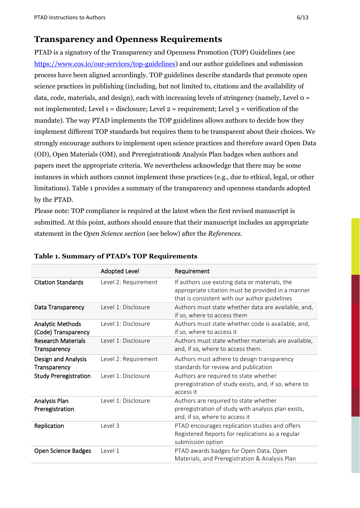## **Transparency and Openness Requirements**

PTAD is a signatory of the Transparency and Openness Promotion (TOP) Guidelines (see [https://www.cos.io/our-services/top-guidelines\)](https://www.cos.io/our-services/top-guidelines) and our author guidelines and submission process have been aligned accordingly. TOP guidelines describe standards that promote open science practices in publishing (including, but not limited to, citations and the availability of data, code, materials, and design), each with increasing levels of stringency (namely, Level 0 = not implemented; Level  $1 =$  disclosure; Level  $2 =$  requirement; Level  $3 =$  verification of the mandate). The way PTAD implements the TOP guidelines allows authors to decide how they implement different TOP standards but requires them to be transparent about their choices. We strongly encourage authors to implement open science practices and therefore award Open Data (OD), Open Materials (OM), and Preregistration& Analysis Plan badges when authors and papers meet the appropriate criteria. We nevertheless acknowledge that there may be some instances in which authors cannot implement these practices (e.g., due to ethical, legal, or other limitations). Table 1 provides a summary of the transparency and openness standards adopted by the PTAD.

Please note: TOP compliance is required at the latest when the first revised manuscript is submitted. At this point, authors should ensure that their manuscript includes an appropriate statement in the *Open Science section* (see below) after the *References*.

|                                                | <b>Adopted Level</b> | Requirement                                                                                                                                          |
|------------------------------------------------|----------------------|------------------------------------------------------------------------------------------------------------------------------------------------------|
| <b>Citation Standards</b>                      | Level 2: Requirement | If authors use existing data or materials, the<br>appropriate citation must be provided in a manner<br>that is consistent with our author guidelines |
| Data Transparency                              | Level 1: Disclosure  | Authors must state whether data are available, and,<br>if so, where to access them                                                                   |
| <b>Analytic Methods</b><br>(Code) Transparency | Level 1: Disclosure  | Authors must state whether code is available, and,<br>if so, where to access it                                                                      |
| <b>Research Materials</b><br>Transparency      | Level 1: Disclosure  | Authors must state whether materials are available,<br>and, if so, where to access them.                                                             |
| Design and Analysis<br>Transparency            | Level 2: Requirement | Authors must adhere to design transparency<br>standards for review and publication                                                                   |
| <b>Study Preregistration</b>                   | Level 1: Disclosure  | Authors are required to state whether<br>preregistration of study exists, and, if so, where to<br>access it                                          |
| Analysis Plan<br>Preregistration               | Level 1: Disclosure  | Authors are required to state whether<br>preregistration of study with analysis plan exists,<br>and, if so, where to access it                       |
| Replication                                    | Level 3              | PTAD encourages replication studies and offers<br>Registered Reports for replications as a regular<br>submission option                              |
| <b>Open Science Badges</b>                     | Level 1              | PTAD awards badges for Open Data, Open<br>Materials, and Preregistration & Analysis Plan                                                             |

#### **Table 1. Summary of PTAD's TOP Requirements**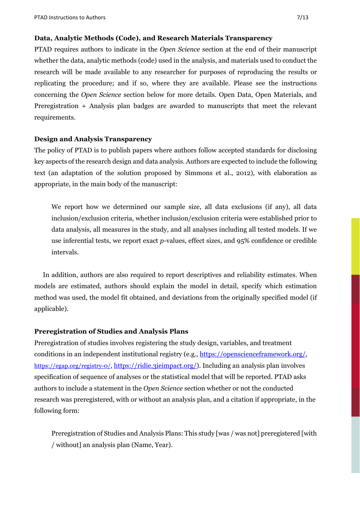#### **Data, Analytic Methods (Code), and Research Materials Transparency**

PTAD requires authors to indicate in the *Open Science* section at the end of their manuscript whether the data, analytic methods (code) used in the analysis, and materials used to conduct the research will be made available to any researcher for purposes of reproducing the results or replicating the procedure; and if so, where they are available. Please see the instructions concerning the *Open Science* section below for more details. Open Data, Open Materials, and Preregistration + Analysis plan badges are awarded to manuscripts that meet the relevant requirements.

#### **Design and Analysis Transparency**

The policy of PTAD is to publish papers where authors follow accepted standards for disclosing key aspects of the research design and data analysis. Authors are expected to include the following text (an adaptation of the solution proposed by Simmons et al., 2012), with elaboration as appropriate, in the main body of the manuscript:

We report how we determined our sample size, all data exclusions (if any), all data inclusion/exclusion criteria, whether inclusion/exclusion criteria were established prior to data analysis, all measures in the study, and all analyses including all tested models. If we use inferential tests, we report exact *p*-values, effect sizes, and 95% confidence or credible intervals.

In addition, authors are also required to report descriptives and reliability estimates. When models are estimated, authors should explain the model in detail, specify which estimation method was used, the model fit obtained, and deviations from the originally specified model (if applicable).

#### **Preregistration of Studies and Analysis Plans**

Preregistration of studies involves registering the study design, variables, and treatment conditions in an independent institutional registry (e.g., [https://openscienceframework.org/,](https://openscienceframework.org/) [https://egap.org/registry-0/,](https://egap.org/registry-0/) [https://ridie.3ieimpact.org/\)](https://ridie.3ieimpact.org/). Including an analysis plan involves specification of sequence of analyses or the statistical model that will be reported. PTAD asks authors to include a statement in the *Open Science* section whether or not the conducted research was preregistered, with or without an analysis plan, and a citation if appropriate, in the following form:

Preregistration of Studies and Analysis Plans: This study [was / was not] preregistered [with / without] an analysis plan (Name, Year).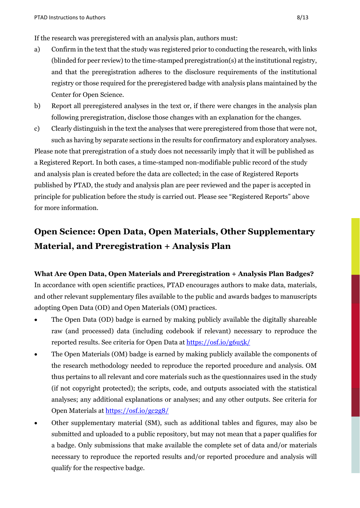If the research was preregistered with an analysis plan, authors must:

- a) Confirm in the text that the study was registered prior to conducting the research, with links (blinded for peer review) to the time-stamped preregistration(s) at the institutional registry, and that the preregistration adheres to the disclosure requirements of the institutional registry or those required for the preregistered badge with analysis plans maintained by the Center for Open Science.
- b) Report all preregistered analyses in the text or, if there were changes in the analysis plan following preregistration, disclose those changes with an explanation for the changes.
- c) Clearly distinguish in the text the analyses that were preregistered from those that were not, such as having by separate sections in the results for confirmatory and exploratory analyses. Please note that preregistration of a study does not necessarily imply that it will be published as a Registered Report. In both cases, a time-stamped non-modifiable public record of the study and analysis plan is created before the data are collected; in the case of Registered Reports published by PTAD, the study and analysis plan are peer reviewed and the paper is accepted in principle for publication before the study is carried out. Please see "Registered Reports" above for more information.

## **Open Science: Open Data, Open Materials, Other Supplementary Material, and Preregistration + Analysis Plan**

**What Are Open Data, Open Materials and Preregistration + Analysis Plan Badges?** In accordance with open scientific practices, PTAD encourages authors to make data, materials, and other relevant supplementary files available to the public and awards badges to manuscripts adopting Open Data (OD) and Open Materials (OM) practices.

- The Open Data (OD) badge is earned by making publicly available the digitally shareable raw (and processed) data (including codebook if relevant) necessary to reproduce the reported results. See criteria for Open Data at<https://osf.io/g6u5k/>
- The Open Materials (OM) badge is earned by making publicly available the components of the research methodology needed to reproduce the reported procedure and analysis. OM thus pertains to all relevant and core materials such as the questionnaires used in the study (if not copyright protected); the scripts, code, and outputs associated with the statistical analyses; any additional explanations or analyses; and any other outputs. See criteria for Open Materials at <https://osf.io/gc2g8/>
- Other supplementary material (SM), such as additional tables and figures, may also be submitted and uploaded to a public repository, but may not mean that a paper qualifies for a badge. Only submissions that make available the complete set of data and/or materials necessary to reproduce the reported results and/or reported procedure and analysis will qualify for the respective badge.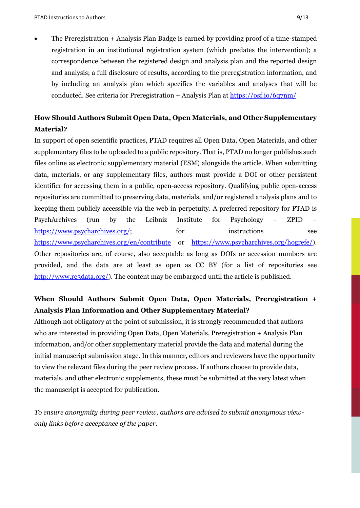• The Preregistration + Analysis Plan Badge is earned by providing proof of a time-stamped registration in an institutional registration system (which predates the intervention); a correspondence between the registered design and analysis plan and the reported design and analysis; a full disclosure of results, according to the preregistration information, and by including an analysis plan which specifies the variables and analyses that will be conducted. See criteria for Preregistration + Analysis Plan at<https://osf.io/6q7nm/>

## **How Should Authors Submit Open Data, Open Materials, and Other Supplementary Material?**

In support of open scientific practices, PTAD requires all Open Data, Open Materials, and other supplementary files to be uploaded to a public repository. That is, PTAD no longer publishes such files online as electronic supplementary material (ESM) alongside the article. When submitting data, materials, or any supplementary files, authors must provide a DOI or other persistent identifier for accessing them in a public, open-access repository. Qualifying public open-access repositories are committed to preserving data, materials, and/or registered analysis plans and to keeping them publicly accessible via the web in perpetuity. A preferred repository for PTAD is PsychArchives (run by the Leibniz Institute for Psychology – ZPID – [https://www.psycharchives.org/;](https://www.psycharchives.org/) for instructions see <https://www.psycharchives.org/en/contribute>or [https://www.psycharchives.org/hogrefe/\)](https://www.psycharchives.org/hogrefe/). Other repositories are, of course, also acceptable as long as DOIs or accession numbers are provided, and the data are at least as open as CC BY (for a list of repositories see [http://www.re3data.org/\)](http://www.re3data.org/). The content may be embargoed until the article is published.

## **When Should Authors Submit Open Data, Open Materials, Preregistration + Analysis Plan Information and Other Supplementary Material?**

Although not obligatory at the point of submission, it is strongly recommended that authors who are interested in providing Open Data, Open Materials, Preregistration + Analysis Plan information, and/or other supplementary material provide the data and material during the initial manuscript submission stage. In this manner, editors and reviewers have the opportunity to view the relevant files during the peer review process. If authors choose to provide data, materials, and other electronic supplements, these must be submitted at the very latest when the manuscript is accepted for publication.

*To ensure anonymity during peer review, authors are advised to submit anonymous viewonly links before acceptance of the paper.*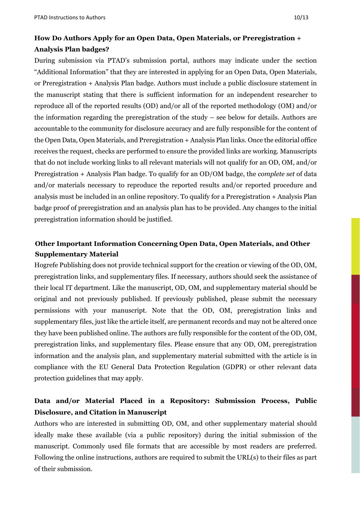## **How Do Authors Apply for an Open Data, Open Materials, or Preregistration + Analysis Plan badges?**

During submission via PTAD's submission portal, authors may indicate under the section "Additional Information" that they are interested in applying for an Open Data, Open Materials, or Preregistration + Analysis Plan badge. Authors must include a public disclosure statement in the manuscript stating that there is sufficient information for an independent researcher to reproduce all of the reported results (OD) and/or all of the reported methodology (OM) and/or the information regarding the preregistration of the study – see below for details. Authors are accountable to the community for disclosure accuracy and are fully responsible for the content of the Open Data, Open Materials, and Preregistration + Analysis Plan links. Once the editorial office receives the request, checks are performed to ensure the provided links are working. Manuscripts that do not include working links to all relevant materials will not qualify for an OD, OM, and/or Preregistration + Analysis Plan badge. To qualify for an OD/OM badge, the *complete set* of data and/or materials necessary to reproduce the reported results and/or reported procedure and analysis must be included in an online repository. To qualify for a Preregistration + Analysis Plan badge proof of preregistration and an analysis plan has to be provided. Any changes to the initial preregistration information should be justified.

## **Other Important Information Concerning Open Data, Open Materials, and Other Supplementary Material**

Hogrefe Publishing does not provide technical support for the creation or viewing of the OD, OM, preregistration links, and supplementary files. If necessary, authors should seek the assistance of their local IT department. Like the manuscript, OD, OM, and supplementary material should be original and not previously published. If previously published, please submit the necessary permissions with your manuscript. Note that the OD, OM, preregistration links and supplementary files, just like the article itself, are permanent records and may not be altered once they have been published online. The authors are fully responsible for the content of the OD, OM, preregistration links, and supplementary files. Please ensure that any OD, OM, preregistration information and the analysis plan, and supplementary material submitted with the article is in compliance with the EU General Data Protection Regulation (GDPR) or other relevant data protection guidelines that may apply.

## **Data and/or Material Placed in a Repository: Submission Process, Public Disclosure, and Citation in Manuscript**

Authors who are interested in submitting OD, OM, and other supplementary material should ideally make these available (via a public repository) during the initial submission of the manuscript. Commonly used file formats that are accessible by most readers are preferred. Following the online instructions, authors are required to submit the URL(s) to their files as part of their submission.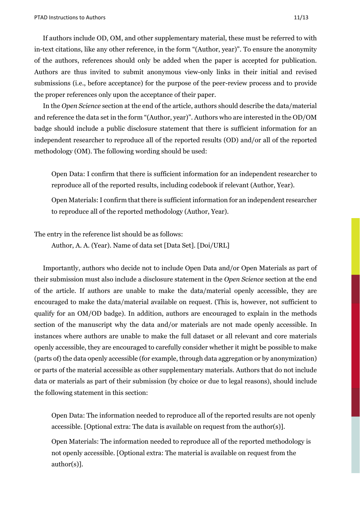If authors include OD, OM, and other supplementary material, these must be referred to with in-text citations, like any other reference, in the form "(Author, year)". To ensure the anonymity of the authors, references should only be added when the paper is accepted for publication. Authors are thus invited to submit anonymous view-only links in their initial and revised submissions (i.e., before acceptance) for the purpose of the peer-review process and to provide the proper references only upon the acceptance of their paper.

In the *Open Science* section at the end of the article, authors should describe the data/material and reference the data set in the form "(Author, year)". Authors who are interested in the OD/OM badge should include a public disclosure statement that there is sufficient information for an independent researcher to reproduce all of the reported results (OD) and/or all of the reported methodology (OM). The following wording should be used:

Open Data: I confirm that there is sufficient information for an independent researcher to reproduce all of the reported results, including codebook if relevant (Author, Year).

Open Materials: I confirm that there is sufficient information for an independent researcher to reproduce all of the reported methodology (Author, Year).

The entry in the reference list should be as follows:

Author, A. A. (Year). Name of data set [Data Set]. [Doi/URL]

Importantly, authors who decide not to include Open Data and/or Open Materials as part of their submission must also include a disclosure statement in the *Open Science* section at the end of the article. If authors are unable to make the data/material openly accessible, they are encouraged to make the data/material available on request. (This is, however, not sufficient to qualify for an OM/OD badge). In addition, authors are encouraged to explain in the methods section of the manuscript why the data and/or materials are not made openly accessible. In instances where authors are unable to make the full dataset or all relevant and core materials openly accessible, they are encouraged to carefully consider whether it might be possible to make (parts of) the data openly accessible (for example, through data aggregation or by anonymization) or parts of the material accessible as other supplementary materials. Authors that do not include data or materials as part of their submission (by choice or due to legal reasons), should include the following statement in this section:

Open Data: The information needed to reproduce all of the reported results are not openly accessible. [Optional extra: The data is available on request from the author(s)].

Open Materials: The information needed to reproduce all of the reported methodology is not openly accessible. [Optional extra: The material is available on request from the author(s)].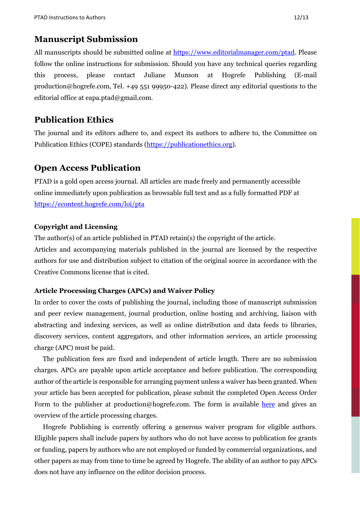### **Manuscript Submission**

All manuscripts should be submitted online at [https://www.editorialmanager.com/ptad.](https://www.editorialmanager.com/ptad) Please follow the online instructions for submission. Should you have any technical queries regarding this process, please contact Juliane Munson at Hogrefe Publishing (E-mail production@hogrefe.com, Tel. +49 551 99950-422). Please direct any editorial questions to the editorial office at eapa.ptad@gmail.com.

## **Publication Ethics**

The journal and its editors adhere to, and expect its authors to adhere to, the Committee on Publication Ethics (COPE) standards [\(https://publicationethics.org\)](https://publicationethics.org/).

## **Open Access Publication**

PTAD is a gold open access journal. All articles are made freely and permanently accessible online immediately upon publication as browsable full text and as a fully formatted PDF at <https://econtent.hogrefe.com/loi/pta>

#### **Copyright and Licensing**

The author(s) of an article published in PTAD retain(s) the copyright of the article. Articles and accompanying materials published in the journal are licensed by the respective authors for use and distribution subject to citation of the original source in accordance with the Creative Commons license that is cited.

#### **Article Processing Charges (APCs) and Waiver Policy**

In order to cover the costs of publishing the journal, including those of manuscript submission and peer review management, journal production, online hosting and archiving, liaison with abstracting and indexing services, as well as online distribution and data feeds to libraries, discovery services, content aggregators, and other information services, an article processing charge (APC) must be paid.

The publication fees are fixed and independent of article length. There are no submission charges. APCs are payable upon article acceptance and before publication. The corresponding author of the article is responsible for arranging payment unless a waiver has been granted. When your article has been accepted for publication, please submit the completed Open Access Order Form to the publisher at production@hogrefe.com. The form is available [here](https://www.hogrefe.com/us/index.php?eID=dumpFile&t=f&f=7769&token=e344b8cdb1f71c846377daa7d66c66a4cb391f54) and gives an overview of the article processing charges.

Hogrefe Publishing is currently offering a generous waiver program for eligible authors. Eligible papers shall include papers by authors who do not have access to publication fee grants or funding, papers by authors who are not employed or funded by commercial organizations, and other papers as may from time to time be agreed by Hogrefe. The ability of an author to pay APCs does not have any influence on the editor decision process.